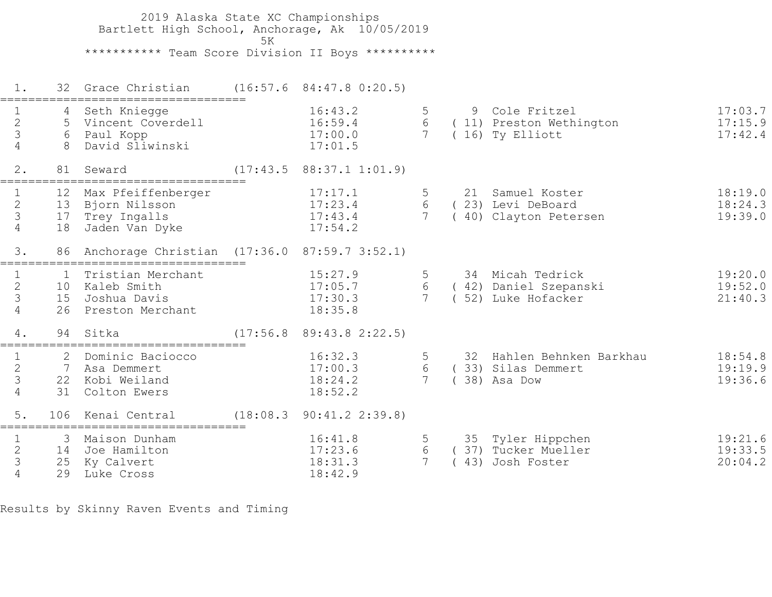2019 Alaska State XC Championships Bartlett High School, Anchorage, Ak 10/05/2019  $5K$  \*\*\*\*\*\*\*\*\*\*\* Team Score Division II Boys \*\*\*\*\*\*\*\*\*\* 1. 32 Grace Christian (16:57.6 84:47.8 0:20.5) =================================== 1 4 Seth Kniegge 16:43.2 5 9 Cole Fritzel 17:03.7 2 5 Vincent Coverdell 16:59.4 6 ( 11) Preston Wethington 17:15.9 3 6 Paul Kopp 17:00.0 7 ( 16) Ty Elliott 17:42.4 4 8 David Sliwinski 17:01.5 2. 81 Seward (17:43.5 88:37.1 1:01.9) =================================== 1 12 Max Pfeiffenberger 17:17.1 5 21 Samuel Koster 18:19.0 2 13 Bjorn Nilsson 17:23.4 6 ( 23) Levi DeBoard 18:24.3 3 17 Trey Ingalls 17:43.4 7 ( 40) Clayton Petersen 19:39.0 4 18 Jaden Van Dyke 17:54.2 3. 86 Anchorage Christian (17:36.0 87:59.7 3:52.1) =================================== 1 1 Tristian Merchant 15:27.9 5 34 Micah Tedrick 19:20.0 2 10 Kaleb Smith 17:05.7 6 ( 42) Daniel Szepanski 19:52.0 3 15 Joshua Davis 17:30.3 7 ( 52) Luke Hofacker 21:40.3 4 26 Preston Merchant 18:35.8 4. 94 Sitka (17:56.8 89:43.8 2:22.5) =================================== 16:32.3 5 32 Hahlen Behnken Barkhau 18:54.8 2 7 Asa Demmert 17:00.3 6 ( 33) Silas Demmert 19:19.9 3 22 Kobi Weiland 18:24.2 7 ( 38) Asa Dow 19:36.6 4 31 Colton Ewers 18:52.2 5. 106 Kenai Central (18:08.3 90:41.2 2:39.8) =================================== 1 3 Maison Dunham 16:41.8 5 35 Tyler Hippchen 19:21.6 2 14 Joe Hamilton 17:23.6 6 ( 37) Tucker Mueller 19:33.5 3 25 Ky Calvert 18:31.3 7 ( 43) Josh Foster 20:04.2 4 29 Luke Cross 18:42.9

Results by Skinny Raven Events and Timing